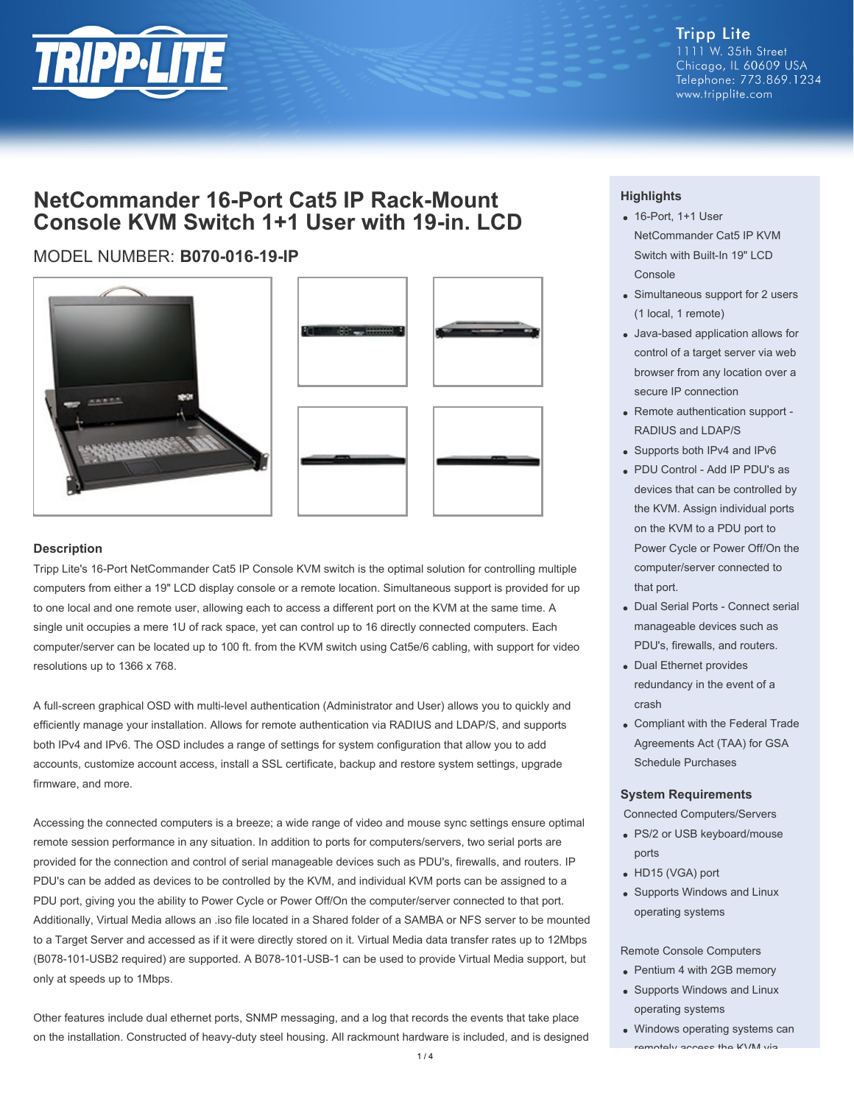

# **NetCommander 16-Port Cat5 IP Rack-Mount Console KVM Switch 1+1 User with 19-in. LCD**

## MODEL NUMBER: **B070-016-19-IP**







#### **Description**

Tripp Lite's 16-Port NetCommander Cat5 IP Console KVM switch is the optimal solution for controlling multiple computers from either a 19" LCD display console or a remote location. Simultaneous support is provided for up to one local and one remote user, allowing each to access a different port on the KVM at the same time. A single unit occupies a mere 1U of rack space, yet can control up to 16 directly connected computers. Each computer/server can be located up to 100 ft. from the KVM switch using Cat5e/6 cabling, with support for video resolutions up to 1366 x 768.

A full-screen graphical OSD with multi-level authentication (Administrator and User) allows you to quickly and efficiently manage your installation. Allows for remote authentication via RADIUS and LDAP/S, and supports both IPv4 and IPv6. The OSD includes a range of settings for system configuration that allow you to add accounts, customize account access, install a SSL certificate, backup and restore system settings, upgrade firmware, and more.

Accessing the connected computers is a breeze; a wide range of video and mouse sync settings ensure optimal remote session performance in any situation. In addition to ports for computers/servers, two serial ports are provided for the connection and control of serial manageable devices such as PDU's, firewalls, and routers. IP PDU's can be added as devices to be controlled by the KVM, and individual KVM ports can be assigned to a PDU port, giving you the ability to Power Cycle or Power Off/On the computer/server connected to that port. Additionally, Virtual Media allows an .iso file located in a Shared folder of a SAMBA or NFS server to be mounted to a Target Server and accessed as if it were directly stored on it. Virtual Media data transfer rates up to 12Mbps (B078-101-USB2 required) are supported. A B078-101-USB-1 can be used to provide Virtual Media support, but only at speeds up to 1Mbps.

Other features include dual ethernet ports, SNMP messaging, and a log that records the events that take place on the installation. Constructed of heavy-duty steel housing. All rackmount hardware is included, and is designed

### **Highlights**

- 16-Port, 1+1 User NetCommander Cat5 IP KVM Switch with Built-In 19" LCD Console
- Simultaneous support for 2 users (1 local, 1 remote)
- Java-based application allows for control of a target server via web browser from any location over a secure IP connection
- Remote authentication support -RADIUS and LDAP/S
- Supports both IPv4 and IPv6
- PDU Control Add IP PDU's as devices that can be controlled by the KVM. Assign individual ports on the KVM to a PDU port to Power Cycle or Power Off/On the computer/server connected to that port.
- Dual Serial Ports Connect serial manageable devices such as PDU's, firewalls, and routers.
- Dual Ethernet provides redundancy in the event of a crash
- Compliant with the Federal Trade Agreements Act (TAA) for GSA Schedule Purchases

#### **System Requirements**

Connected Computers/Servers

- PS/2 or USB keyboard/mouse ports
- HD15 (VGA) port
- Supports Windows and Linux operating systems

#### Remote Console Computers

- Pentium 4 with 2GB memory
- Supports Windows and Linux operating systems
- Windows operating systems can  $\frac{1}{2}$  respective KVM via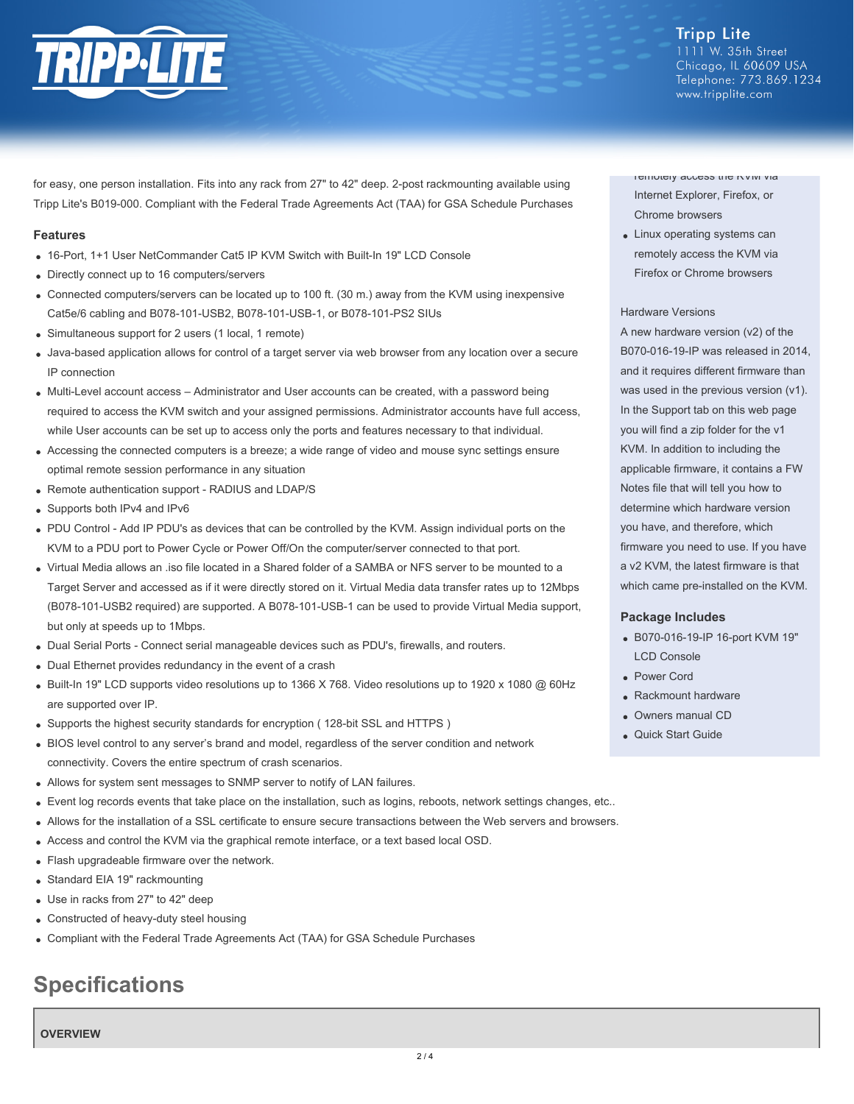

**Tripp Lite** 1111 W. 35th Street Chicago, IL 60609 USA Telephone: 773.869.1234 www.tripplite.com

for easy, one person installation. Fits into any rack from 27" to 42" deep. 2-post rackmounting available using Tripp Lite's B019-000. Compliant with the Federal Trade Agreements Act (TAA) for GSA Schedule Purchases

#### **Features**

- 16-Port, 1+1 User NetCommander Cat5 IP KVM Switch with Built-In 19" LCD Console
- Directly connect up to 16 computers/servers
- Connected computers/servers can be located up to 100 ft. (30 m.) away from the KVM using inexpensive Cat5e/6 cabling and B078-101-USB2, B078-101-USB-1, or B078-101-PS2 SIUs
- Simultaneous support for 2 users (1 local, 1 remote)
- Java-based application allows for control of a target server via web browser from any location over a secure IP connection
- Multi-Level account access Administrator and User accounts can be created, with a password being required to access the KVM switch and your assigned permissions. Administrator accounts have full access, while User accounts can be set up to access only the ports and features necessary to that individual.
- Accessing the connected computers is a breeze; a wide range of video and mouse sync settings ensure optimal remote session performance in any situation
- Remote authentication support RADIUS and LDAP/S
- Supports both IPv4 and IPv6
- PDU Control Add IP PDU's as devices that can be controlled by the KVM. Assign individual ports on the KVM to a PDU port to Power Cycle or Power Off/On the computer/server connected to that port.
- Virtual Media allows an .iso file located in a Shared folder of a SAMBA or NFS server to be mounted to a Target Server and accessed as if it were directly stored on it. Virtual Media data transfer rates up to 12Mbps (B078-101-USB2 required) are supported. A B078-101-USB-1 can be used to provide Virtual Media support, but only at speeds up to 1Mbps.
- Dual Serial Ports Connect serial manageable devices such as PDU's, firewalls, and routers.
- Dual Ethernet provides redundancy in the event of a crash
- Built-In 19" LCD supports video resolutions up to 1366 X 768. Video resolutions up to 1920 x 1080 @ 60Hz are supported over IP.
- Supports the highest security standards for encryption ( 128-bit SSL and HTTPS )
- BIOS level control to any server's brand and model, regardless of the server condition and network connectivity. Covers the entire spectrum of crash scenarios.
- Allows for system sent messages to SNMP server to notify of LAN failures.
- Event log records events that take place on the installation, such as logins, reboots, network settings changes, etc..
- Allows for the installation of a SSL certificate to ensure secure transactions between the Web servers and browsers.
- Access and control the KVM via the graphical remote interface, or a text based local OSD.
- Flash upgradeable firmware over the network.
- Standard EIA 19" rackmounting
- Use in racks from 27" to 42" deep
- Constructed of heavy-duty steel housing
- Compliant with the Federal Trade Agreements Act (TAA) for GSA Schedule Purchases

# **Specifications**

**OVERVIEW**

remotely access the KVM via Internet Explorer, Firefox, or Chrome browsers

Linux operating systems can remotely access the KVM via Firefox or Chrome browsers

#### Hardware Versions

A new hardware version (v2) of the B070-016-19-IP was released in 2014, and it requires different firmware than was used in the previous version (v1). In the Support tab on this web page you will find a zip folder for the v1 KVM. In addition to including the applicable firmware, it contains a FW Notes file that will tell you how to determine which hardware version you have, and therefore, which firmware you need to use. If you have a v2 KVM, the latest firmware is that which came pre-installed on the KVM.

#### **Package Includes**

- B070-016-19-IP 16-port KVM 19" LCD Console
- Power Cord
- Rackmount hardware
- Owners manual CD
- Quick Start Guide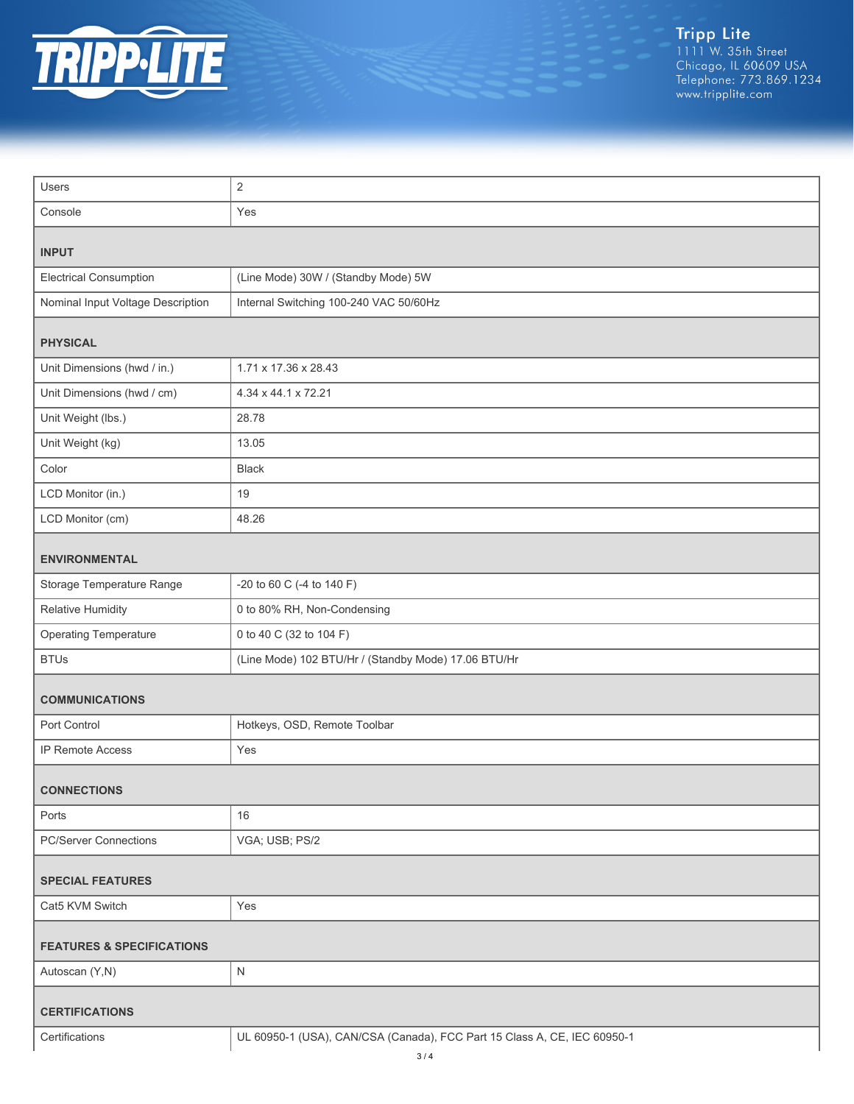

| Users                                | 2                                                                        |  |
|--------------------------------------|--------------------------------------------------------------------------|--|
| Console                              | Yes                                                                      |  |
| <b>INPUT</b>                         |                                                                          |  |
| <b>Electrical Consumption</b>        | (Line Mode) 30W / (Standby Mode) 5W                                      |  |
| Nominal Input Voltage Description    | Internal Switching 100-240 VAC 50/60Hz                                   |  |
| <b>PHYSICAL</b>                      |                                                                          |  |
| Unit Dimensions (hwd / in.)          | 1.71 x 17.36 x 28.43                                                     |  |
| Unit Dimensions (hwd / cm)           | 4.34 x 44.1 x 72.21                                                      |  |
| Unit Weight (lbs.)                   | 28.78                                                                    |  |
| Unit Weight (kg)                     | 13.05                                                                    |  |
| Color                                | <b>Black</b>                                                             |  |
| LCD Monitor (in.)                    | 19                                                                       |  |
| LCD Monitor (cm)                     | 48.26                                                                    |  |
| <b>ENVIRONMENTAL</b>                 |                                                                          |  |
| Storage Temperature Range            | -20 to 60 C (-4 to 140 F)                                                |  |
| Relative Humidity                    | 0 to 80% RH, Non-Condensing                                              |  |
| <b>Operating Temperature</b>         | 0 to 40 C (32 to 104 F)                                                  |  |
| <b>BTUs</b>                          | (Line Mode) 102 BTU/Hr / (Standby Mode) 17.06 BTU/Hr                     |  |
| <b>COMMUNICATIONS</b>                |                                                                          |  |
| Port Control                         | Hotkeys, OSD, Remote Toolbar                                             |  |
| IP Remote Access                     | Yes                                                                      |  |
| <b>CONNECTIONS</b>                   |                                                                          |  |
| Ports                                | 16                                                                       |  |
| <b>PC/Server Connections</b>         | VGA; USB; PS/2                                                           |  |
| <b>SPECIAL FEATURES</b>              |                                                                          |  |
| Cat5 KVM Switch                      | Yes                                                                      |  |
| <b>FEATURES &amp; SPECIFICATIONS</b> |                                                                          |  |
| Autoscan (Y,N)                       | ${\sf N}$                                                                |  |
| <b>CERTIFICATIONS</b>                |                                                                          |  |
| Certifications                       | UL 60950-1 (USA), CAN/CSA (Canada), FCC Part 15 Class A, CE, IEC 60950-1 |  |